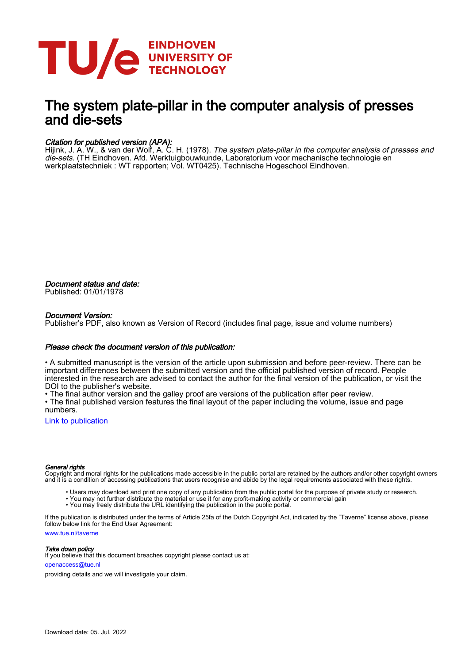

# The system plate-pillar in the computer analysis of presses and die-sets

# Citation for published version (APA):

Hijink, J. A. W., & van der Wolf, A. C. H. (1978). *The system plate-pillar in the computer analysis of presses and* die-sets. (TH Eindhoven. Afd. Werktuigbouwkunde, Laboratorium voor mechanische technologie en werkplaatstechniek : WT rapporten; Vol. WT0425). Technische Hogeschool Eindhoven.

Document status and date: Published: 01/01/1978

# Document Version:

Publisher's PDF, also known as Version of Record (includes final page, issue and volume numbers)

# Please check the document version of this publication:

• A submitted manuscript is the version of the article upon submission and before peer-review. There can be important differences between the submitted version and the official published version of record. People interested in the research are advised to contact the author for the final version of the publication, or visit the DOI to the publisher's website.

• The final author version and the galley proof are versions of the publication after peer review.

• The final published version features the final layout of the paper including the volume, issue and page numbers.

[Link to publication](https://research.tue.nl/en/publications/e6a8b5a5-4e32-4a87-bdb8-faa8a60814f9)

### General rights

Copyright and moral rights for the publications made accessible in the public portal are retained by the authors and/or other copyright owners and it is a condition of accessing publications that users recognise and abide by the legal requirements associated with these rights.

- Users may download and print one copy of any publication from the public portal for the purpose of private study or research.
- You may not further distribute the material or use it for any profit-making activity or commercial gain
- You may freely distribute the URL identifying the publication in the public portal.

If the publication is distributed under the terms of Article 25fa of the Dutch Copyright Act, indicated by the "Taverne" license above, please follow below link for the End User Agreement:

www.tue.nl/taverne

**Take down policy**<br>If you believe that this document breaches copyright please contact us at:

openaccess@tue.nl

providing details and we will investigate your claim.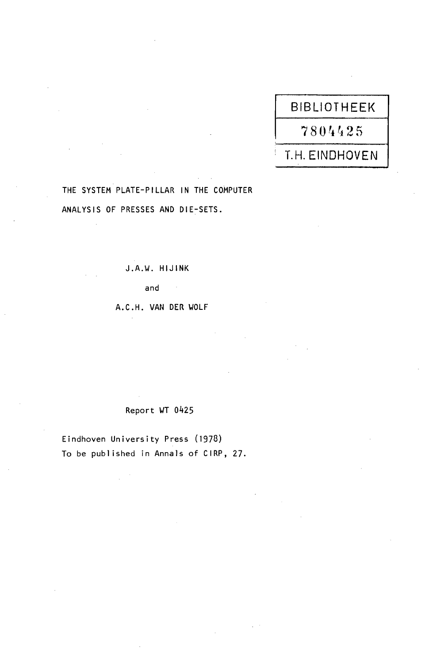# BIBLIOTHEEK 7804425 T.H. EINDHOVEN

# THE SYSTEM PLATE-PILLAR IN THE COMPUTER ANALYSIS OF PRESSES AND DIE-SETS.

J.A.\~. HIJINK

and

A.C.H. VAN DER VOLF

 $\sim$   $\sim$ 

# Report WT 0425

Eindhoven University Press (1970) To be publ ished in Annals of CIRP, 27.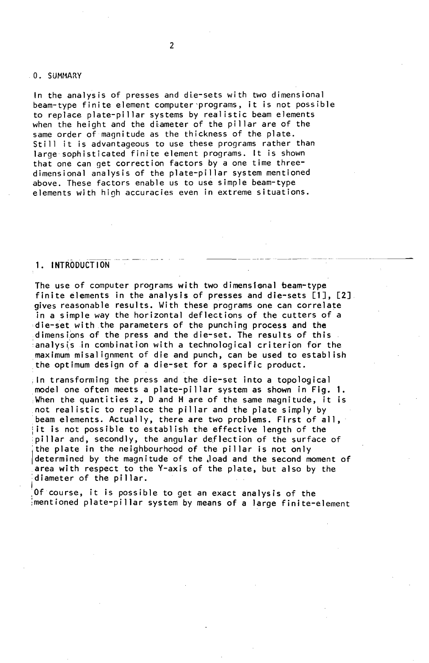#### 0. SUMMARY

In the analysis of presses and die-sets with two dimensional beam-type finite element computer 'programs, it is not possible to replace plate-pillar systems by real istic beam elements when the height and the diameter of the pillar are of the same order of magnitude as the thickness of the plate. Still it is advantageous to use these programs rather than large sophisticated finite element programs. It is shown that one can get correction factors by a one time threedimensional analysis of the plate-pillar system mentioned above. These factors enable us to use simple beam-type elements with high accuracies even in extreme situations.

# 1. INTRODUCT ION

The use of computer programs with two dimensional beam-type finite elements in the analysis of presses and die-sets [1], [2]. gives reasonable results. With these programs one can correlate in a simple way the horizontal deflections of the cutters of a die-set with the parameters of the punching process and the dimensibns of the press and the die-set. The results of this analysis in combination with a technological criterion for the maximum misalignment of die and punch, can be used to establ ish the optimum design of a die-set for a specific product.

-------------- ------ ----

,In transforming the press and the die-set into a topological model one often meets a plate-pillar system as shown in Fig. 1. ,When the quantities z, 0 and H are of the same magnitude, it is not real istic to replace the pillar and the plate simply by beam elements. Actually, there are two problems. First of all, it is not possible to establish the effective length of the pillar and, secondly, the angular deflection of the surface of the plate in the neighbourhood of the pillar is not only determined by the magnitude of the load and the second moment of area with respect to the V-axis of the plate, but also by the diameter of the pillar.

Of course, it is possible to get an exact analysis of the ;mentioned plate-pillar system by means of a large finite-element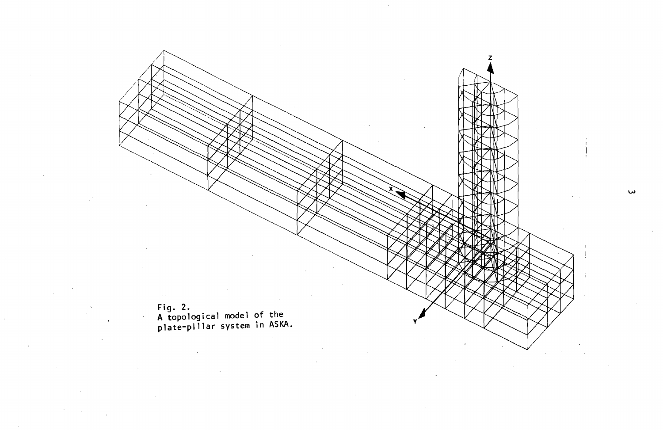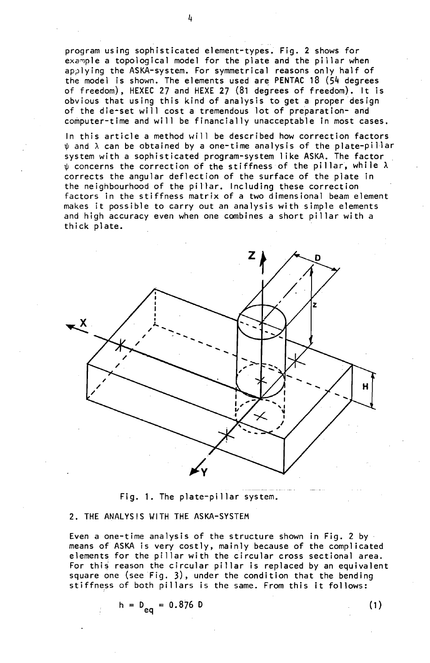program using sophisticated element-types. Fig. 2 shows for example a topological model for the plate and the pillar when applying the ASKA-system. For symmetrical reasons only half of the model is shown. The elements used are PENTAC 18 (54 degrees of freedom), HEXEC 27 and HEXE 27 (81 degrees of freedom). It is obvious that using this kind of analysis to get a proper design of the die-set will cost a tremendous lot of preparation- and computer-time and will be financially unacceptable in most cases.

In this article a method will be described how correction factors  $\psi$  and  $\lambda$  can be obtained by a one-time analysis of the plate-pillar system with a sophisticated program-system I ike ASKA. The factor  $\psi$  concerns the correction of the stiffness of the pillar, while  $\lambda$ corrects the angular deflection of the surface of the plate in the neighbourhood of the pillar. Including these correction factors in the stiffness matrix of a two dimensional beam element makes it possible to carry out an analysis with simple elements and high accuracy even when one combines a short pillar with a thick plate.



Fig. 1. The plate-pillar system.

# 2. THE ANALYSIS WITH THE ASKA-SYSTEM

Even a one-time analysis of the structure shown in Fig. 2 by means of ASKA is very costly, mainly because of the complicated elements for the pillar with the circular cross sectional area. For this reason the circular pillar is replaced by an equivalent square one (see Fig. 3), under the condition that the bending stiffness of both pillars is the same. From this it follows:

 $(1)$ 

$$
h = D_{eq} = 0.876 D
$$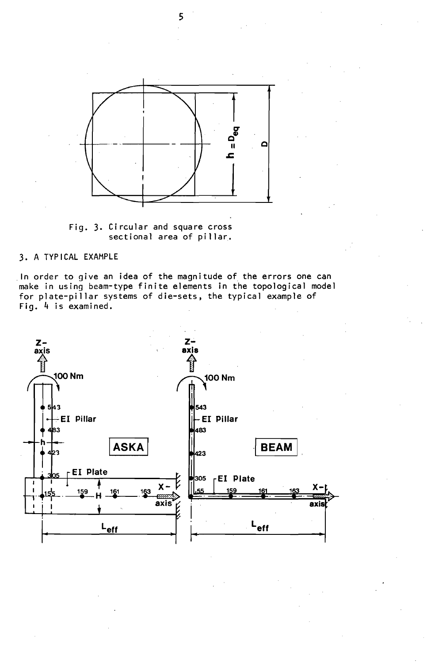

Fig. 3. Circular and square cross sectional area of pillar.

# 3. A TYPICAL EXAMPLE

. In order to give an idea of the magnitude of the errors one can make in using beam-type finite elements in the topological model for plate-pillar systems of die-sets, the typical example of Fig. 4 is examined.

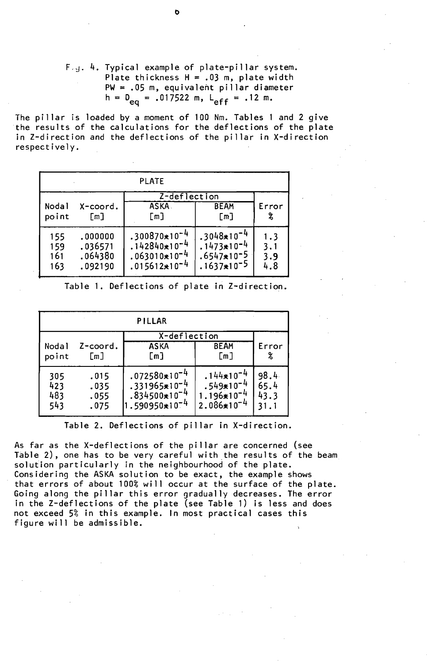# $F_{c,d}$ . 4. Typical example of plate-pillar system. Plate thickness  $H = .03$  m, plate width PW = .05 m, equivalent pillar diameter  $h = D_{eq} = .017522 \text{ m}, L_{eff} = .12 \text{ m}.$

The pillar is loaded by a moment of 100 Nm. Tables 1 and 2 give the results of the calculations for the deflections of the plate in Z-direction and the deflections of the pillar in X-direction respectively.

| <b>PLATE</b> |          |                   |                 |       |
|--------------|----------|-------------------|-----------------|-------|
|              |          | Z-deflection      |                 |       |
| Nodal        | X-coord. | <b>ASKA</b>       | <b>BEAM</b>     | Error |
| point        | [m]      | [m]               | [m]             | %     |
| 155          | .000000  | $.300870*10^{-4}$ | $.3048*10^{-}$  | 1.3   |
| 159          | .036571  | $.142840*10^{-4}$ | $.1473*10^{-4}$ | 3.1   |
| 161          | .064380  | $.063010*10^{-4}$ | $.6547*10-5$    | 3.9   |
| 163          | .092190  | $.015612*10^{-4}$ | $.1637*10^{-5}$ | 4.8   |

Table 1. Deflections of plate in Z-direction.

| <b>PILLAR</b> |          |                                        |                 |       |
|---------------|----------|----------------------------------------|-----------------|-------|
|               |          | X-deflection                           |                 |       |
| Nodal         | Z-coord. | <b>ASKA</b>                            | <b>BEAM</b>     | Error |
| point         | [m]      | [m]                                    | [m]             | %     |
| 305           | .015     | $.072580*10^{-4}$                      | $.144*10^{-}$   | 98.4  |
| 423           | .035     | $.331965*10^{-4}$                      | $.549*10^{-4}$  | 65.4  |
| 483           | .055     | .834500*10                             | $1.196*10^{-4}$ | 43.3  |
| 543           | .075     | 1.590950 <del>∗</del> 10 <sup>−4</sup> | $2.086*10^{-4}$ | 31.1  |

Table 2. Deflections of pillar in X-direction.

As far as the X-deflections of the pillar are concerned (see Table 2), one has to be very careful with the results of the beam solution particularly in the neighbourhood of the plate. Considering the ASKA solution to be exact, the example shows that errors of about 100% will occur at the surface of the plate. Going along the pillar this error gradually decreases. The error in the Z-deflections of the plate (see Table 1) is less and does not exceed 5% in this example. In most practical cases this figure will be admissible.

b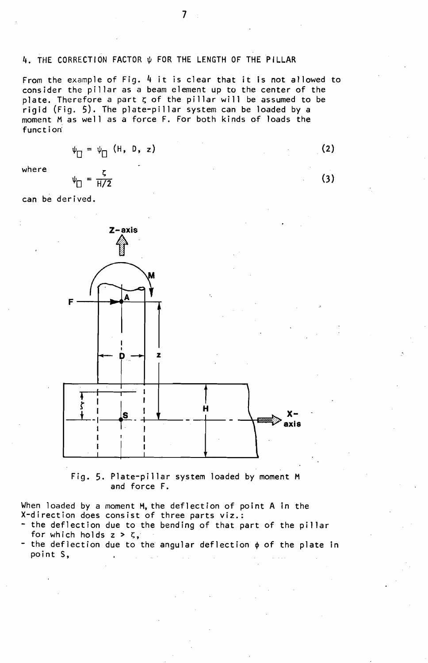# 4. THE CORRECTION FACTOR  $\psi$  for the Length of the Pillar

From the example of Fig. 4 it is clear that it is not allowed to consider the pillar as a beam clement up to the center of the plate. Therefore a part  $\zeta$  of the pillar will be assumed to be rigid (Fig. 5). The plate-pillar system can be loaded by a moment Mas well as a force F. For both kinds of loads the function'

$$
\psi_{\Box} = \psi_{\Box} \quad (\text{H, D, z})
$$

where

$$
\psi_{\Box} = \frac{1}{H/2}
$$

 $\overline{r}$ 

can be derived.



Fig. 5. Plate-pillar system loaded by moment M and force F.

When loaded by a moment M, the deflection of point A in the X-direction does consist of three parts viz.:

- the deflection due to the bending of that part of the pillar for which holds  $z > \zeta$ ,
- the deflection due to the angular deflection  $\phi$  of the plate in point S,

(3)

(2)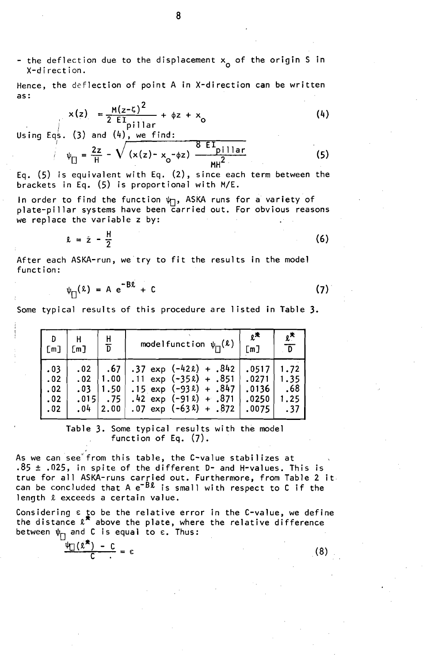- the deflection due to the displacement  $x_{\alpha}$  of the origin S in and derivation.<br>X-direction.

Hence, the deflection of point A in X-direction can be written as:

$$
x(z) = \frac{M(z-\zeta)^2}{2 E I} + \phi z + x_0
$$
\nUsing Eqs. (3) and (4), we find:

$$
\psi_{\Box} = \frac{2z}{H} - \sqrt{\frac{2z}{(x(z) - x_0 - \phi z)}} = \frac{8 E I_{\text{pillar}}}{MR^2}
$$
 (5)

Eq. (5) is equivalent with Eq. (2), since each term between the brackets in Eq. (5) is proportional with M/E.

In order to find the function  $\psi_{\Box}$ , ASKA runs for a variety of plate-pillar systems have been carried out. For obvious reasons we replace the variable z by:

$$
x = \dot{z} - \frac{H}{2} \tag{6}
$$

After each ASKA-run, we try to fit the results in the model function:

$$
\psi_{\Box}(\ell) = A e^{-B\ell} + C \tag{7}
$$

Some typical results of this procedure are 1isted in Table 3.

| D                                      | -H                                     | H                                                      | modelfunction $\psi_{\square}(\ell)$                                                                                                                                                  | $2^*$                                     | $\boldsymbol{\ell}^{\star}$        |
|----------------------------------------|----------------------------------------|--------------------------------------------------------|---------------------------------------------------------------------------------------------------------------------------------------------------------------------------------------|-------------------------------------------|------------------------------------|
| _[ጠ]                                   | [m]                                    | $\sqrt{D}$                                             |                                                                                                                                                                                       | [m]                                       | $\overline{D}$                     |
| .03<br>.02<br>.02<br>$\cdot$ 02<br>.02 | .02<br>.02 <sub>1</sub><br>.03<br>.015 | .67<br> 1.00 <br>1.50<br>$\cdot$ . 75<br>$.04$ $ 2.00$ | $.37 \text{ exp} (-42 \text{ k}) + .842$<br>$.11 \text{ exp } (-35 \text{ k}) + .851$<br>$.15 \text{ exp} (-93 \ell) + .847$<br>$.42 \exp(-912) + .871$<br>$.07 \exp(-63\ell) + .872$ | .0517<br>.0271<br>.0136<br>.0250<br>.0075 | 1.72<br>1.35<br>.68<br>1.25<br>.37 |

Table 3. Some typical results with the model function of Eq. (7).

As we can see" from this table, the C-value stabil izes at  $.85 \pm .025$ , in spite of the different D- and H-values. This is true for all ASKA-runs carried out. Furthermore, from Table 2 it can be concluded that A  $e^{-\bar{B}\bm{\ell}}$  is small with respect to C if the length  $\ell$  exceeds a certain value.

Considering  $\varepsilon$  to be the relative error in the C-value, we define the distance  $\ell^\divideontimes$  above the plate, where the relative difference between  $\psi_{\Gamma_1}$  and C is equal to  $\varepsilon$ . Thus:

 $\frac{\psi_{\Box}(\ell^*) - C}{c} = \epsilon$  (8)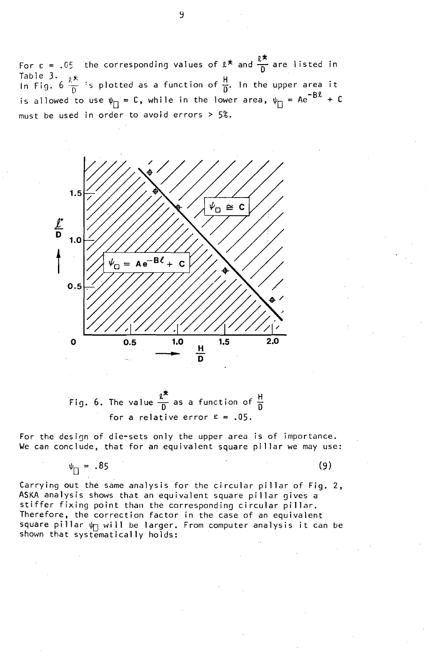In the upper area it  $-B<sub>g</sub>$ is allowed to use  $\psi_{\bigsqcup} = \bigsqcup$ , while in the lower area,  $\psi_{\bigsqcup} = \bigsqcup^{\bigsqcup} \bigsqcup^{\bigsqcup} + \bigsqcup$ For  $\epsilon$  = .05 the corresponding values of  $\ell^*$  and  $\frac{\ell^*}{n}$  are listed in Table 3.  $6 \frac{\ell^\ast}{\rm D}$  :s plotted as a function of  $\frac{{\sf H}}{{\sf D}}$ . must be used in order to avoid errors> 5%.



Fig. 6. The value 
$$
\frac{\ell^*}{D}
$$
 as a function of  $\frac{H}{D}$   
for a relative error  $\epsilon = .05$ .

For the design of die-sets only the upper area is of importance. We can conclude, that for an equivalent square pillar we may use:

$$
\psi_{\square} = .85
$$

 $(9)$ 

Carrying out the same analysis for the circular pillar of Fig. 2, ASKA analysis shows that an equivalent square pillar gives a stiffer fixing point than the corresponding circular pillar. Therefore, the correction factor in the case of an equivalent square pillar  $\psi_{\Box}$  will be larger. From computer analysis it can be shown that systematically holds: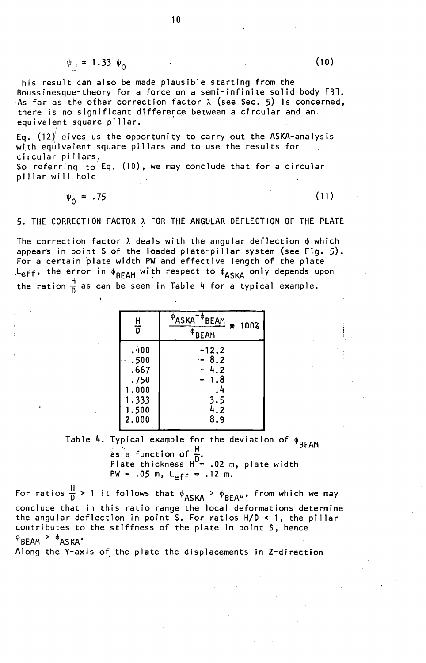$$
\psi_{\square} = 1.33 \psi_0
$$

This result can also be made plausible starting from the Boussinesque-theory for a force on a semi-infinite solid body [3J. As far as the other correction factor  $\lambda$  (see Sec. 5) is concerned, there is no significant difference between a circular and an, equivalent square pillar.

Eq.  $(12)$  gives us the opportunity to carry out the ASKA-analysis with equivalent square pillars and to use the results for circular pillars.

So referring to Eq. (10), we may conclude that for <sup>a</sup> circular pillar will hold

$$
\psi_{0} = .75
$$

 $\cdot$  -

 $(11)$ 

5. THE CORRECTION FACTOR A FOR THE ANGULAR DEFLECTION OF THE PLATE

The correction factor  $\lambda$  deals with the angular deflection  $\phi$  which appears in point S of the loaded plate-pillar system (see Fig. 5). For a certain plate width PW and effective length of the plate . Leff, the error in  $\phi_{BEAM}$  with respect to  $\phi_{ASKA}$  only depends upon the ration  $\frac{H}{D}$  as can be seen in Table 4 for a typical example.

| $\overline{H}$<br>ក | <sup>Ф</sup> ASKA <sup>-Ф</sup> BEAM<br>★ 100%<br>$\Phi$ BEAM |
|---------------------|---------------------------------------------------------------|
| .400                | $-12.2$                                                       |
| .500                | $-8.2$                                                        |
| .667                | 4.2                                                           |
| .750                | 1.8                                                           |
| 1.000               | . 4                                                           |
| 1.333               | 3.5                                                           |
| 1.500               | 4.2                                                           |
| 2.000               | 8.9                                                           |

Table 4. Typical example for the deviation of  $\phi_{BEAM}$ as a function of  $\frac{\pi}{\delta}$ . Plate thickness  $H^{\nu}$ = .02 m, plate width  $PW = .05$  m,  $L_{eff} = .12$  m.

PW = .05 m, L<sub>eff</sub> = .12 m.<br>For ratios  $\frac{H}{D}$  > 1 it follows that  $\phi_{ASKA}$  >  $\phi_{BEAM}$ , from which we may conclude that in this ratio range the local deformations determine the angular deflection in point S. For ratios  $H/D < 1$ , the pillar contributes to the stiffness of the plate in point S, hence  $^{\varphi}$ BEAM  $^{\varphi}$   $^{\varphi}$ ASKA'

Along the Y-axis of the plate the displacements in Z-direction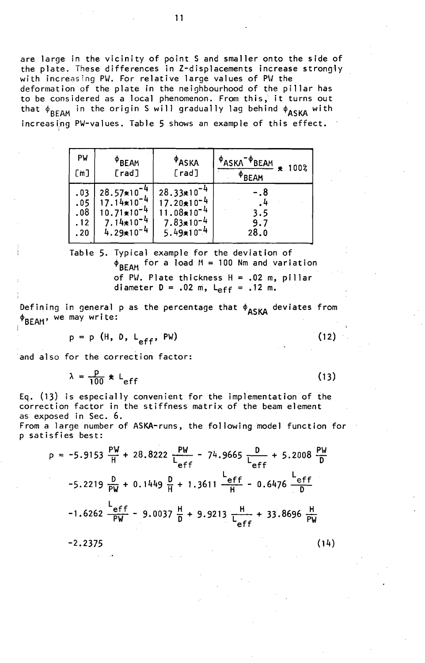are large in the vicinity of point S and smaller onto the side of the plate. These differences in Z-displacements increase strongiy with increasing PW. For relative large values of PW the deformation of the plate in the neighbourhood of the pillar has to be considered as a local phenomenon. From this, it turns out that  $\phi_{\mathsf{RFAM}}$  in the origin S will gradually lag behind  $\phi_{\mathsf{ASKA}}$  with increasing PW-values. Table 5 shows an example of this effect.

| PW<br>[m]                       | $\Phi$ BEAM<br>[rad]                                               | $\Phi$ ASKA<br>[rad]                                                   | $\Phi$ ASKA<br>PBEAM<br>100%<br>$^{\circ}$ BEAM |
|---------------------------------|--------------------------------------------------------------------|------------------------------------------------------------------------|-------------------------------------------------|
| .03<br>.05<br>.08<br>.12<br>.20 | $28.57*10$<br>17.14*10<br>$10.71*10$<br>$7.14*10$<br>$4.29*10^{-}$ | 28.33*10<br>17.20*10<br>$11.08*10$<br>$7.83*10^{-4}$<br>$5.49*10^{-4}$ | - . 8<br>3.5<br>9.7<br>28.0                     |

Table 5. Typical example for the deviation of  $\phi_{BEAM}$  for a load  $M = 100$  Nm and variation of PW. Plate thickness  $H = .02$  m, pillar diameter  $D = .02$  m,  $L_{eff} = .12$  m.

Defining in general p as the percentage that  $\phi_{\text{ASKA}}$  deviates from  $\Phi_{\sf BEAM}$ , we may write:

$$
p = p
$$
 (H, D, L<sub>eff</sub>, PW)

and also for the correction factor:

 $\lambda = \frac{p}{100}$  \* L<sub>eff</sub>

 $(13)$ 

(12)

Eq. (13) is especially convenient for the implementation of the correction factor in the stiffness matrix of the beam element as exposed in Sec. 6.

From a large number of ASKA-runs, the following model function for p satisfies best:

$$
p = -5.9153 \frac{PW}{H} + 28.8222 \frac{PW}{L_{eff}} - 74.9665 \frac{D}{L_{eff}} + 5.2008 \frac{PW}{D}
$$
  
-5.2219  $\frac{D}{PW} + 0.1449 \frac{D}{H} + 1.3611 \frac{L_{eff}}{H} - 0.6476 \frac{L_{eff}}{D}$   
-1.6262  $\frac{L_{eff}}{PW} - 9.0037 \frac{H}{D} + 9.9213 \frac{H}{L_{eff}} + 33.8696 \frac{H}{PW}$   
-2.2375 (14)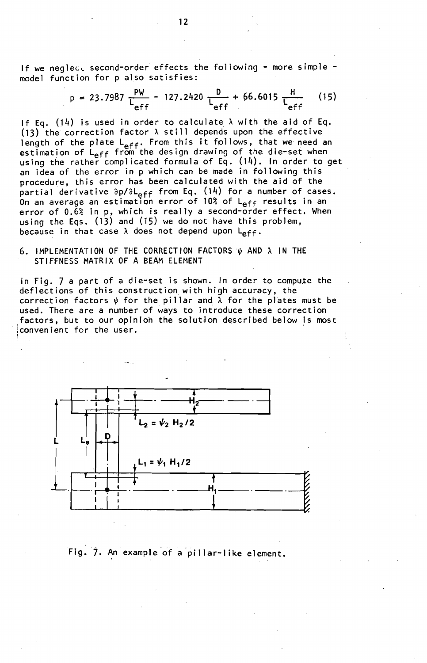If we neglect second-order effects the following - more simple model function for p also satisfies:

$$
p = 23.7987 \frac{PW}{L_{eff}} - 127.2420 \frac{D}{L_{eff}} + 66.6015 \frac{H}{L_{eff}}
$$
 (15)

If Eq. (14) is used in order to calculate  $\lambda$  with the aid of Eq. (13) the correction factor  $\lambda$  still depends upon the effective length of the plate L<sub>eff</sub>. From this it follows, that we need an estimation of  $L_{\rho ff}$  from the design drawing of the die-set when using the rather complicated formula of Eq. (14). In order to get an idea of the error in p which can be made in following this procedure, this error has been calculated with the aid of the partial derivative ∂p/∂L<sub>eff</sub> from Eq. (14) for a number of cases. .<br>On an average an estimation error of 10% of L<sub>eff</sub> results in an error of 0.6% in p, which is really a second-order effect. When using the Eqs. (13) and (15) we do not have this problem, because in that case  $\lambda$  does not depend upon  $L_{eff}$ .

# 6. IMPLEMENTATION OF THE CORRECTION FACTORS  $\psi$  and  $\lambda$  in the STIFFNESS MATRIX OF A BEAM ELEMENT

In Fig. 7 a part of a die-set is shown. In order to compute the deflections of this construction with high accuracy, the correction factors  $\psi$  for the pillar and  $\tilde{\lambda}$  for the plates must be used. There are a number of ways to introduce these correction factors, but to our opinion the solution described below is most convenient for the user.



# Fig. 7. An example of a pillar-like element.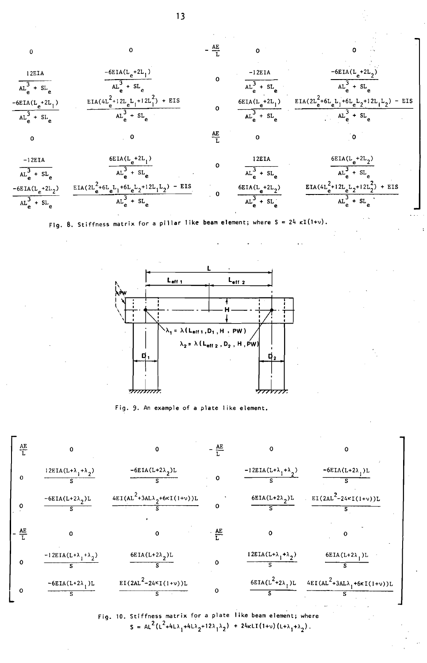0 
$$
-4E
$$
  
\n $AL_{e}^{3} + SL_{e}$   
\n $AL_{e}^{3} + SL_{e}$   
\n $AL_{e}^{3} + SL_{e}$   
\n $AL_{e}^{3} + SL_{e}$   
\n $AL_{e}^{3} + SL_{e}$   
\n $AL_{e}^{3} + SL_{e}$   
\n $AL_{e}^{3} + SL_{e}$   
\n $AL_{e}^{3} + SL_{e}$   
\n $AL_{e}^{3} + SL_{e}$   
\n $AL_{e}^{3} + SL_{e}$   
\n $AL_{e}^{3} + SL_{e}$   
\n $AL_{e}^{3} + SL_{e}$   
\n $AL_{e}^{3} + SL_{e}$   
\n $AL_{e}^{3} + SL_{e}$   
\n $AL_{e}^{3} + SL_{e}$   
\n $AL_{e}^{3} + SL_{e}$   
\n $AL_{e}^{3} + SL_{e}$   
\n $AL_{e}^{3} + SL_{e}$   
\n $AL_{e}^{3} + SL_{e}$   
\n $AL_{e}^{3} + SL_{e}$   
\n $AL_{e}^{3} + SL_{e}$   
\n $AL_{e}^{3} + SL_{e}$   
\n $AL_{e}^{3} + SL_{e}$   
\n $AL_{e}^{3} + SL_{e}$   
\n $AL_{e}^{3} + SL_{e}$   
\n $AL_{e}^{3} + SL_{e}$   
\n $AL_{e}^{3} + SL_{e}$   
\n $AL_{e}^{3} + SL_{e}$   
\n $AL_{e}^{3} + SL_{e}$   
\n $AL_{e}^{3} + SL_{e}$   
\n $AL_{e}^{3} + SL_{e}$   
\n $AL_{e}^{3} + SL_{e}$   
\n $AL_{e}^{3} + SL_{e}$   
\n $AL_{e}^{3} + SL_{e}$   
\n $AL_{e}^{3} + SL_{e}$   
\n $AL_{e}^{3} + SL_{e}$   
\n $AL_{e}^{3} + SL_{e}$   
\n $AL_{e}^{3} + SL_{$ 

 $AL_e^3 + SL_e$ 

Fig. 8. Stiffness matrix for a pillar like beam element; where  $S = 24 \kappa I(1+v)$ .

 $AL_{e}^{3} + SL_{e}$ 



Fig. 9. An example of a plate like element.



Fig. 10. Stiffness matrix for a plate 1ike beam element; where S = AL<sup>2</sup>(L<sup>2</sup>+4L $\lambda_1$ +4L $\lambda_2$ +12 $\lambda_1$  $\lambda_2$ ) + 24kLI(1+v)(L+ $\lambda_1$ + $\lambda_2$ ).